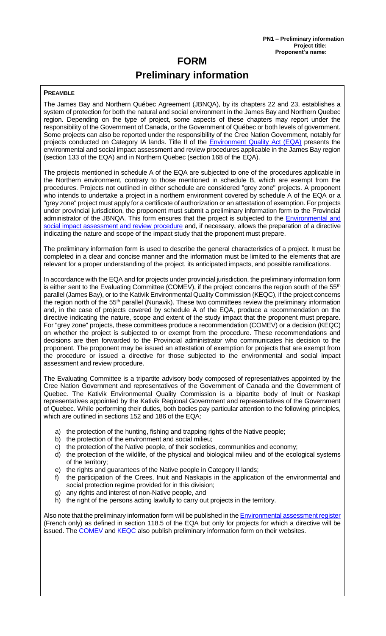# **FORM Preliminary information**

#### **PREAMBLE**

The James Bay and Northern Québec Agreement (JBNQA), by its chapters 22 and 23, establishes a system of protection for both the natural and social environment in the James Bay and Northern Quebec region. Depending on the type of project, some aspects of these chapters may report under the responsibility of the Government of Canada, or the Government of Québec or both levels of government. Some projects can also be reported under the responsibility of the Cree Nation Government, notably for projects conducted on Category IA lands. Title II of the **Environment Quality Act (EQA)** presents the environmental and social impact assessment and review procedures applicable in the James Bay region (section 133 of the EQA) and in Northern Quebec (section 168 of the EQA).

The projects mentioned in schedule A of the EQA are subjected to one of the procedures applicable in the Northern environment, contrary to those mentioned in schedule B, which are exempt from the procedures. Projects not outlined in either schedule are considered "grey zone" projects. A proponent who intends to undertake a project in a northern environment covered by schedule A of the EQA or a "grey zone" project must apply for a certificate of authorization or an attestation of exemption. For projects under provincial jurisdiction, the proponent must submit a preliminary information form to the Provincial administrator of the JBNQA. This form ensures that the project is subjected to the [Environmental and](https://www.environnement.gouv.qc.ca/evaluations/mil-nordique/index-en.htm)  [social impact assessment and review procedure](https://www.environnement.gouv.qc.ca/evaluations/mil-nordique/index-en.htm)</u> and, if necessary, allows the preparation of a directive indicating the nature and scope of the impact study that the proponent must prepare.

The preliminary information form is used to describe the general characteristics of a project. It must be completed in a clear and concise manner and the information must be limited to the elements that are relevant for a proper understanding of the project, its anticipated impacts, and possible ramifications.

In accordance with the EQA and for projects under provincial jurisdiction, the preliminary information form is either sent to the Evaluating Committee (COMEV), if the project concerns the region south of the 55<sup>th</sup> parallel (James Bay), or to the Kativik Environmental Quality Commission (KEQC), if the project concerns the region north of the 55<sup>th</sup> parallel (Nunavik). These two committees review the preliminary information and, in the case of projects covered by schedule A of the EQA, produce a recommendation on the directive indicating the nature, scope and extent of the study impact that the proponent must prepare. For "grey zone" projects, these committees produce a recommendation (COMEV) or a decision (KEQC) on whether the project is subjected to or exempt from the procedure. These recommendations and decisions are then forwarded to the Provincial administrator who communicates his decision to the proponent. The proponent may be issued an attestation of exemption for projects that are exempt from the procedure or issued a directive for those subjected to the environmental and social impact assessment and review procedure.

The Evaluating Committee is a tripartite advisory body composed of representatives appointed by the Cree Nation Government and representatives of the Government of Canada and the Government of Quebec. The Kativik Environmental Quality Commission is a bipartite body of Inuit or Naskapi representatives appointed by the Kativik Regional Government and representatives of the Government of Quebec. While performing their duties, both bodies pay particular attention to the following principles, which are outlined in sections 152 and 186 of the EQA:

- the protection of the hunting, fishing and trapping rights of the Native people;
- b) the protection of the environment and social milieu;
- c) the protection of the Native people, of their societies, communities and economy;
- d) the protection of the wildlife, of the physical and biological milieu and of the ecological systems of the territory;
- e) the rights and guarantees of the Native people in Category II lands;
- f) the participation of the Crees, Inuit and Naskapis in the application of the environmental and social protection regime provided for in this division;
- g) any rights and interest of non-Native people, and
- h) the right of the persons acting lawfully to carry out projects in the territory.

Also note that the preliminary information form will be published in the **Environmental assessment register** (French only) as defined in section 118.5 of the EQA but only for projects for which a directive will be issued. The [COMEV](https://comev.ca/en/) and [KEQC](https://www.keqc-cqek.ca/en/) also publish preliminary information form on their websites.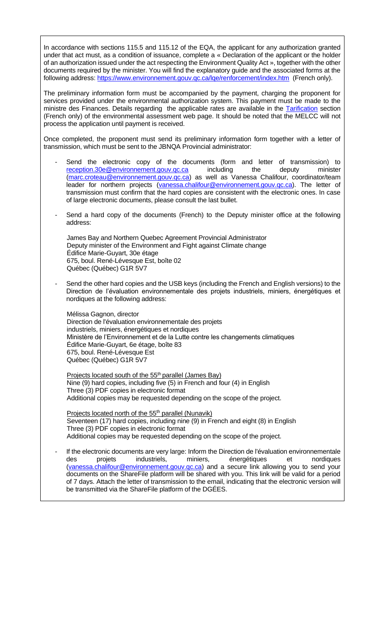In accordance with sections 115.5 and 115.12 of the EQA, the applicant for any authorization granted under that act must, as a condition of issuance, complete a « Declaration of the applicant or the holder of an authorization issued under the act respecting the Environment Quality Act », together with the other documents required by the minister. You will find the explanatory guide and the associated forms at the following address: https://www.environnement.gouv.gc.ca/lqe/renforcement/index.htm (French only).

The preliminary information form must be accompanied by the payment, charging the proponent for services provided under the environmental authorization system. This payment must be made to the ministre des Finances. Details regarding the applicable rates are available in the [Tarification](https://www.environnement.gouv.qc.ca/ministere/tarification/ministere.htm#milieu_nord) section (French only) of the environmental assessment web page. It should be noted that the MELCC will not process the application until payment is received.

Once completed, the proponent must send its preliminary information form together with a letter of transmission, which must be sent to the JBNQA Provincial administrator:

- Send the electronic copy of the documents (form and letter of transmission) to [reception.30e@environnement.gouv.qc.ca](mailto:reception.30e@environnement.gouv.qc.ca) including the deputy minister [\(marc.croteau@environnement.gouv.qc.ca\)](mailto:marc.croteau@environnement.gouv.qc.ca) as well as Vanessa Chalifour, coordinator/team leader for northern projects (vanessa.chalifour@environnement.gouv.gc.ca). The letter of transmission must confirm that the hard copies are consistent with the electronic ones. In case of large electronic documents, please consult the last bullet.
- Send a hard copy of the documents (French) to the Deputy minister office at the following address:

James Bay and Northern Quebec Agreement Provincial Administrator Deputy minister of the Environment and Fight against Climate change Édifice Marie-Guyart, 30e étage 675, boul. René-Lévesque Est, boîte 02 Québec (Québec) G1R 5V7

Send the other hard copies and the USB keys (including the French and English versions) to the Direction de l'évaluation environnementale des projets industriels, miniers, énergétiques et nordiques at the following address:

Mélissa Gagnon, director Direction de l'évaluation environnementale des projets industriels, miniers, énergétiques et nordiques Ministère de l'Environnement et de la Lutte contre les changements climatiques Édifice Marie-Guyart, 6e étage, boîte 83 675, boul. René-Lévesque Est Québec (Québec) G1R 5V7

Projects located south of the 55<sup>th</sup> parallel (James Bay) Nine (9) hard copies, including five (5) in French and four (4) in English Three (3) PDF copies in electronic format Additional copies may be requested depending on the scope of the project.

Projects located north of the 55<sup>th</sup> parallel (Nunavik) Seventeen (17) hard copies, including nine (9) in French and eight (8) in English Three (3) PDF copies in electronic format Additional copies may be requested depending on the scope of the project.

If the electronic documents are very large: Inform the Direction de l'évaluation environnementale<br>des projets industriels, miniers, énergétiques et nordiques des projets industriels, miniers, énergétiques et nordiques [\(vanessa.chalifour@environnement.gouv.qc.ca\)](mailto:vanessa.chalifour@environnement.gouv.qc.ca) and a secure link allowing you to send your documents on the ShareFile platform will be shared with you. This link will be valid for a period of 7 days. Attach the letter of transmission to the email, indicating that the electronic version will be transmitted via the ShareFile platform of the DGÉES.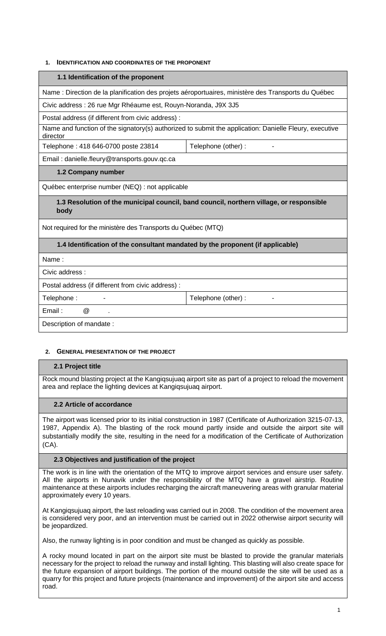## **1. IDENTIFICATION AND COORDINATES OF THE PROPONENT**

#### **1.1 Identification of the proponent**

Name : Direction de la planification des projets aéroportuaires, ministère des Transports du Québec

Civic address : 26 rue Mgr Rhéaume est, Rouyn-Noranda, J9X 3J5

Postal address (if different from civic address) :

Name and function of the signatory(s) authorized to submit the application: Danielle Fleury, executive director

Telephone : 418 646-0700 poste 23814 Telephone (other) :

Email : danielle.fleury@transports.gouv.qc.ca

# **1.2 Company number**

Québec enterprise number (NEQ) : not applicable

**1.3 Resolution of the municipal council, band council, northern village, or responsible body**

Not required for the ministère des Transports du Québec (MTQ)

# **1.4 Identification of the consultant mandated by the proponent (if applicable)**

Name :

Civic address :

Postal address (if different from civic address) :

Telephone : Telephone (other) : Telephone (other) :

Email : @ .

Description of mandate :

# **2. GENERAL PRESENTATION OF THE PROJECT**

# **2.1 Project title**

Rock mound blasting project at the Kangiqsujuaq airport site as part of a project to reload the movement area and replace the lighting devices at Kangiqsujuaq airport.

# **2.2 Article of accordance**

The airport was licensed prior to its initial construction in 1987 (Certificate of Authorization 3215-07-13, 1987, Appendix A). The blasting of the rock mound partly inside and outside the airport site will substantially modify the site, resulting in the need for a modification of the Certificate of Authorization (CA).

# **2.3 Objectives and justification of the project**

The work is in line with the orientation of the MTQ to improve airport services and ensure user safety. All the airports in Nunavik under the responsibility of the MTQ have a gravel airstrip. Routine maintenance at these airports includes recharging the aircraft maneuvering areas with granular material approximately every 10 years.

At Kangiqsujuaq airport, the last reloading was carried out in 2008. The condition of the movement area is considered very poor, and an intervention must be carried out in 2022 otherwise airport security will be jeopardized.

Also, the runway lighting is in poor condition and must be changed as quickly as possible.

A rocky mound located in part on the airport site must be blasted to provide the granular materials necessary for the project to reload the runway and install lighting. This blasting will also create space for the future expansion of airport buildings. The portion of the mound outside the site will be used as a quarry for this project and future projects (maintenance and improvement) of the airport site and access road.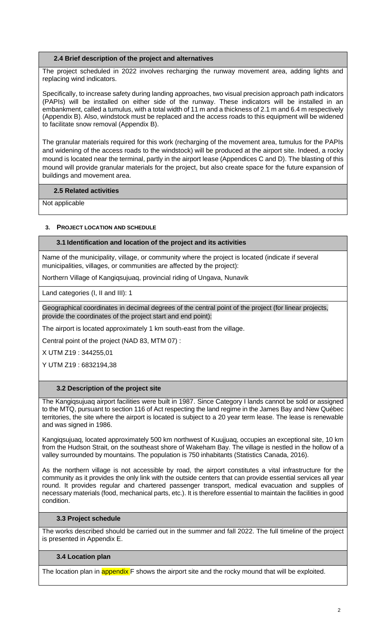#### **2.4 Brief description of the project and alternatives**

The project scheduled in 2022 involves recharging the runway movement area, adding lights and replacing wind indicators.

Specifically, to increase safety during landing approaches, two visual precision approach path indicators (PAPIs) will be installed on either side of the runway. These indicators will be installed in an embankment, called a tumulus, with a total width of 11 m and a thickness of 2.1 m and 6.4 m respectively (Appendix B). Also, windstock must be replaced and the access roads to this equipment will be widened to facilitate snow removal (Appendix B).

The granular materials required for this work (recharging of the movement area, tumulus for the PAPIs and widening of the access roads to the windstock) will be produced at the airport site. Indeed, a rocky mound is located near the terminal, partly in the airport lease (Appendices C and D). The blasting of this mound will provide granular materials for the project, but also create space for the future expansion of buildings and movement area.

#### **2.5 Related activities**

Not applicable

# **3. PROJECT LOCATION AND SCHEDULE**

#### **3.1 Identification and location of the project and its activities**

Name of the municipality, village, or community where the project is located (indicate if several municipalities, villages, or communities are affected by the project):

Northern Village of Kangiqsujuaq, provincial riding of Ungava, Nunavik

Land categories (I, II and III): 1

Geographical coordinates in decimal degrees of the central point of the project (for linear projects, provide the coordinates of the project start and end point):

The airport is located approximately 1 km south-east from the village.

Central point of the project (NAD 83, MTM 07) :

X UTM Z19 : 344255,01

Y UTM Z19 : 6832194,38

#### **3.2 Description of the project site**

The Kangiqsujuaq airport facilities were built in 1987. Since Category I lands cannot be sold or assigned to the MTQ, pursuant to section 116 of Act respecting the land regime in the James Bay and New Québec territories, the site where the airport is located is subject to a 20 year term lease. The lease is renewable and was signed in 1986.

Kangiqsujuaq, located approximately 500 km northwest of Kuujjuaq, occupies an exceptional site, 10 km from the Hudson Strait, on the southeast shore of Wakeham Bay. The village is nestled in the hollow of a valley surrounded by mountains. The population is 750 inhabitants (Statistics Canada, 2016).

As the northern village is not accessible by road, the airport constitutes a vital infrastructure for the community as it provides the only link with the outside centers that can provide essential services all year round. It provides regular and chartered passenger transport, medical evacuation and supplies of necessary materials (food, mechanical parts, etc.). It is therefore essential to maintain the facilities in good condition.

#### **3.3 Project schedule**

The works described should be carried out in the summer and fall 2022. The full timeline of the project is presented in Appendix E.

#### **3.4 Location plan**

The location plan in **appendix** F shows the airport site and the rocky mound that will be exploited.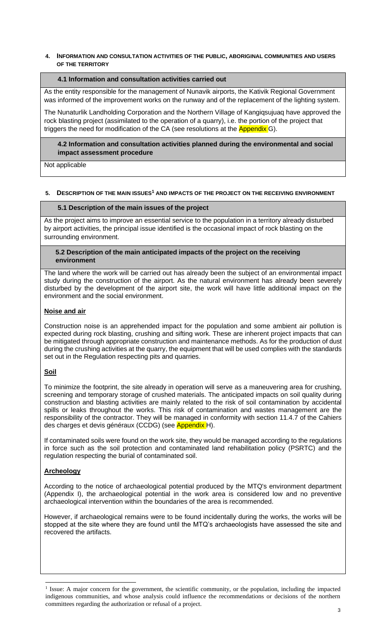#### **4. INFORMATION AND CONSULTATION ACTIVITIES OF THE PUBLIC, ABORIGINAL COMMUNITIES AND USERS OF THE TERRITORY**

## **4.1 Information and consultation activities carried out**

As the entity responsible for the management of Nunavik airports, the Kativik Regional Government was informed of the improvement works on the runway and of the replacement of the lighting system.

The Nunaturlik Landholding Corporation and the Northern Village of Kangiqsujuaq have approved the rock blasting project (assimilated to the operation of a quarry), i.e. the portion of the project that triggers the need for modification of the CA (see resolutions at the **Appendix** G).

#### **4.2 Information and consultation activities planned during the environmental and social impact assessment procedure**

Not applicable

#### **5. DESCRIPTION OF THE MAIN ISSUES<sup>1</sup> AND IMPACTS OF THE PROJECT ON THE RECEIVING ENVIRONMENT**

#### **5.1 Description of the main issues of the project**

As the project aims to improve an essential service to the population in a territory already disturbed by airport activities, the principal issue identified is the occasional impact of rock blasting on the surrounding environment.

#### **5.2 Description of the main anticipated impacts of the project on the receiving environment**

The land where the work will be carried out has already been the subject of an environmental impact study during the construction of the airport. As the natural environment has already been severely disturbed by the development of the airport site, the work will have little additional impact on the environment and the social environment.

# **Noise and air**

Construction noise is an apprehended impact for the population and some ambient air pollution is expected during rock blasting, crushing and sifting work. These are inherent project impacts that can be mitigated through appropriate construction and maintenance methods. As for the production of dust during the crushing activities at the quarry, the equipment that will be used complies with the standards set out in the Regulation respecting pits and quarries.

# **Soil**

To minimize the footprint, the site already in operation will serve as a maneuvering area for crushing, screening and temporary storage of crushed materials. The anticipated impacts on soil quality during construction and blasting activities are mainly related to the risk of soil contamination by accidental spills or leaks throughout the works. This risk of contamination and wastes management are the responsibility of the contractor. They will be managed in conformity with section 11.4.7 of the Cahiers des charges et devis généraux (CCDG) (see Appendix H).

If contaminated soils were found on the work site, they would be managed according to the regulations in force such as the soil protection and contaminated land rehabilitation policy (PSRTC) and the regulation respecting the burial of contaminated soil.

# **Archeology**

According to the notice of archaeological potential produced by the MTQ's environment department (Appendix I), the archaeological potential in the work area is considered low and no preventive archaeological intervention within the boundaries of the area is recommended.

However, if archaeological remains were to be found incidentally during the works, the works will be stopped at the site where they are found until the MTQ's archaeologists have assessed the site and recovered the artifacts.

<sup>&</sup>lt;sup>1</sup> Issue: A major concern for the government, the scientific community, or the population, including the impacted indigenous communities, and whose analysis could influence the recommendations or decisions of the northern committees regarding the authorization or refusal of a project.